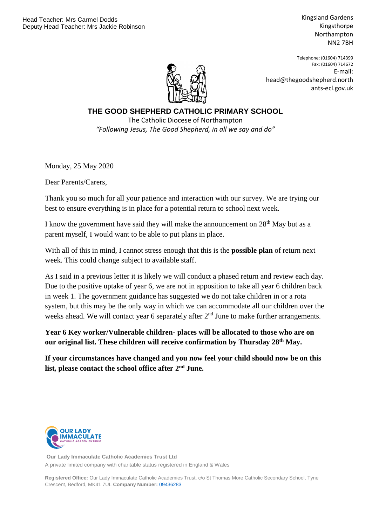Kingsland Gardens Kingsthorpe Northampton NN2 7BH



Telephone: (01604) 714399 Fax: (01604) 714672 E-mail: head@thegoodshepherd.north ants-ecl.gov.uk

**THE GOOD SHEPHERD CATHOLIC PRIMARY SCHOOL** The Catholic Diocese of Northampton *"Following Jesus, The Good Shepherd, in all we say and do"*

Monday, 25 May 2020

Dear Parents/Carers,

Thank you so much for all your patience and interaction with our survey. We are trying our best to ensure everything is in place for a potential return to school next week.

I know the government have said they will make the announcement on  $28<sup>th</sup>$  May but as a parent myself, I would want to be able to put plans in place.

With all of this in mind, I cannot stress enough that this is the **possible plan** of return next week. This could change subject to available staff.

As I said in a previous letter it is likely we will conduct a phased return and review each day. Due to the positive uptake of year 6, we are not in apposition to take all year 6 children back in week 1. The government guidance has suggested we do not take children in or a rota system, but this may be the only way in which we can accommodate all our children over the weeks ahead. We will contact year 6 separately after  $2<sup>nd</sup>$  June to make further arrangements.

**Year 6 Key worker/Vulnerable children- places will be allocated to those who are on our original list. These children will receive confirmation by Thursday 28th May.** 

**If your circumstances have changed and you now feel your child should now be on this**  list, please contact the school office after 2<sup>nd</sup> June.



**Our Lady Immaculate Catholic Academies Trust Ltd** A private limited company with charitable status registered in England & Wales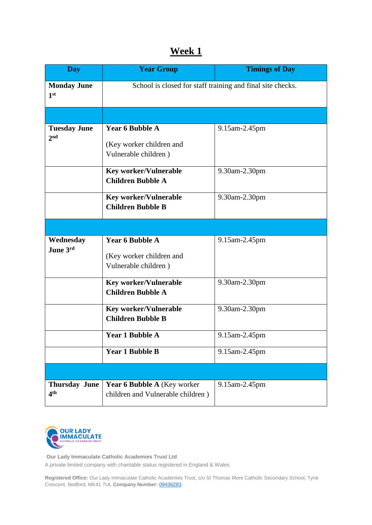## **Week 1**

| <b>Day</b>                              | <b>Year Group</b>                                                          | <b>Timings of Day</b> |  |
|-----------------------------------------|----------------------------------------------------------------------------|-----------------------|--|
| <b>Monday June</b><br>1 <sup>st</sup>   | School is closed for staff training and final site checks.                 |                       |  |
|                                         |                                                                            |                       |  |
| <b>Tuesday June</b><br>2 <sub>nd</sub>  | <b>Year 6 Bubble A</b>                                                     | 9.15am-2.45pm         |  |
|                                         | (Key worker children and<br>Vulnerable children)                           |                       |  |
|                                         | <b>Key worker/Vulnerable</b><br><b>Children Bubble A</b>                   | 9.30am-2.30pm         |  |
|                                         | <b>Key worker/Vulnerable</b><br><b>Children Bubble B</b>                   | 9.30am-2.30pm         |  |
|                                         |                                                                            |                       |  |
| Wednesday<br>June 3rd                   | <b>Year 6 Bubble A</b><br>(Key worker children and<br>Vulnerable children) | 9.15am-2.45pm         |  |
|                                         | <b>Key worker/Vulnerable</b><br><b>Children Bubble A</b>                   | 9.30am-2.30pm         |  |
|                                         | <b>Key worker/Vulnerable</b><br><b>Children Bubble B</b>                   | 9.30am-2.30pm         |  |
|                                         | <b>Year 1 Bubble A</b>                                                     | 9.15am-2.45pm         |  |
|                                         | <b>Year 1 Bubble B</b>                                                     | 9.15am-2.45pm         |  |
|                                         |                                                                            |                       |  |
| <b>Thursday June</b><br>4 <sup>th</sup> | <b>Year 6 Bubble A (Key worker)</b><br>children and Vulnerable children)   | 9.15am-2.45pm         |  |



**Our Lady Immaculate Catholic Academies Trust Ltd** A private limited company with charitable status registered in England & Wales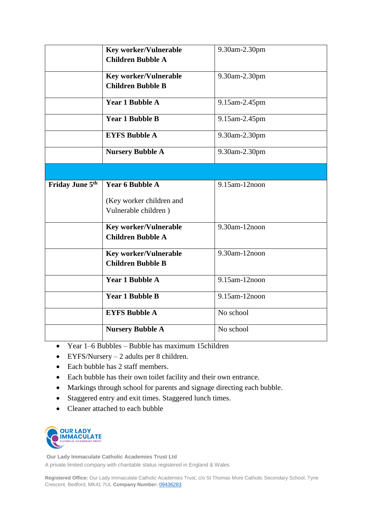|                 | <b>Key worker/Vulnerable</b><br><b>Children Bubble A</b>                   | 9.30am-2.30pm |
|-----------------|----------------------------------------------------------------------------|---------------|
|                 | <b>Key worker/Vulnerable</b><br><b>Children Bubble B</b>                   | 9.30am-2.30pm |
|                 | <b>Year 1 Bubble A</b>                                                     | 9.15am-2.45pm |
|                 | <b>Year 1 Bubble B</b>                                                     | 9.15am-2.45pm |
|                 | <b>EYFS Bubble A</b>                                                       | 9.30am-2.30pm |
|                 | <b>Nursery Bubble A</b>                                                    | 9.30am-2.30pm |
|                 |                                                                            |               |
| Friday June 5th | <b>Year 6 Bubble A</b><br>(Key worker children and<br>Vulnerable children) | 9.15am-12noon |
|                 | <b>Key worker/Vulnerable</b><br><b>Children Bubble A</b>                   | 9.30am-12noon |
|                 | <b>Key worker/Vulnerable</b><br><b>Children Bubble B</b>                   | 9.30am-12noon |
|                 | <b>Year 1 Bubble A</b>                                                     | 9.15am-12noon |
|                 | <b>Year 1 Bubble B</b>                                                     | 9.15am-12noon |
|                 | <b>EYFS Bubble A</b>                                                       | No school     |
|                 | <b>Nursery Bubble A</b>                                                    | No school     |

- Year 1–6 Bubbles Bubble has maximum 15children
- $\bullet$  EYFS/Nursery 2 adults per 8 children.
- Each bubble has 2 staff members.
- Each bubble has their own toilet facility and their own entrance.
- Markings through school for parents and signage directing each bubble.
- Staggered entry and exit times. Staggered lunch times.
- Cleaner attached to each bubble



**Our Lady Immaculate Catholic Academies Trust Ltd** A private limited company with charitable status registered in England & Wales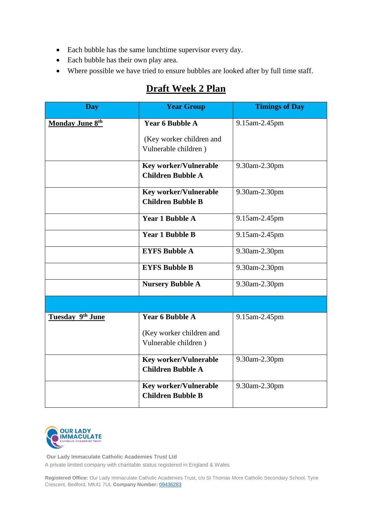- Each bubble has the same lunchtime supervisor every day.
- Each bubble has their own play area.
- Where possible we have tried to ensure bubbles are looked after by full time staff.

## **Draft Week 2 Plan**

| <b>Day</b>       | <b>Year Group</b>                                | <b>Timings of Day</b> |
|------------------|--------------------------------------------------|-----------------------|
| Monday June 8th  | <b>Year 6 Bubble A</b>                           | 9.15am-2.45pm         |
|                  | (Key worker children and<br>Vulnerable children) |                       |
|                  | <b>Key worker/Vulnerable</b>                     | 9.30am-2.30pm         |
|                  | <b>Children Bubble A</b>                         |                       |
|                  | <b>Key worker/Vulnerable</b>                     | 9.30am-2.30pm         |
|                  | <b>Children Bubble B</b>                         |                       |
|                  | <b>Year 1 Bubble A</b>                           | 9.15am-2.45pm         |
|                  | <b>Year 1 Bubble B</b>                           | 9.15am-2.45pm         |
|                  | <b>EYFS Bubble A</b>                             | 9.30am-2.30pm         |
|                  | <b>EYFS Bubble B</b>                             | 9.30am-2.30pm         |
|                  | <b>Nursery Bubble A</b>                          | 9.30am-2.30pm         |
|                  |                                                  |                       |
| Tuesday 9th June | <b>Year 6 Bubble A</b>                           | 9.15am-2.45pm         |
|                  | (Key worker children and                         |                       |
|                  | Vulnerable children)                             |                       |
|                  | <b>Key worker/Vulnerable</b>                     | 9.30am-2.30pm         |
|                  | <b>Children Bubble A</b>                         |                       |
|                  | <b>Key worker/Vulnerable</b>                     | 9.30am-2.30pm         |
|                  | <b>Children Bubble B</b>                         |                       |



**Our Lady Immaculate Catholic Academies Trust Ltd** A private limited company with charitable status registered in England & Wales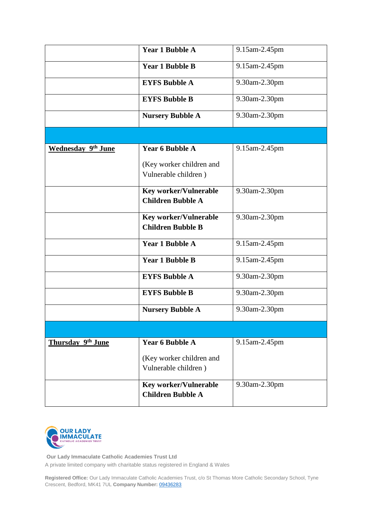|                           | <b>Year 1 Bubble A</b>                                   | 9.15am-2.45pm |
|---------------------------|----------------------------------------------------------|---------------|
|                           | <b>Year 1 Bubble B</b>                                   | 9.15am-2.45pm |
|                           | <b>EYFS Bubble A</b>                                     | 9.30am-2.30pm |
|                           | <b>EYFS Bubble B</b>                                     | 9.30am-2.30pm |
|                           | <b>Nursery Bubble A</b>                                  | 9.30am-2.30pm |
|                           |                                                          |               |
| <b>Wednesday 9th June</b> | <b>Year 6 Bubble A</b>                                   | 9.15am-2.45pm |
|                           | (Key worker children and<br>Vulnerable children)         |               |
|                           | <b>Key worker/Vulnerable</b><br><b>Children Bubble A</b> | 9.30am-2.30pm |
|                           | <b>Key worker/Vulnerable</b><br><b>Children Bubble B</b> | 9.30am-2.30pm |
|                           | <b>Year 1 Bubble A</b>                                   | 9.15am-2.45pm |
|                           | <b>Year 1 Bubble B</b>                                   | 9.15am-2.45pm |
|                           | <b>EYFS Bubble A</b>                                     | 9.30am-2.30pm |
|                           | <b>EYFS Bubble B</b>                                     | 9.30am-2.30pm |
|                           | <b>Nursery Bubble A</b>                                  | 9.30am-2.30pm |
|                           |                                                          |               |
| Thursday 9th June         | <b>Year 6 Bubble A</b>                                   | 9.15am-2.45pm |
|                           | (Key worker children and<br>Vulnerable children)         |               |
|                           | <b>Key worker/Vulnerable</b><br><b>Children Bubble A</b> | 9.30am-2.30pm |



**Our Lady Immaculate Catholic Academies Trust Ltd** A private limited company with charitable status registered in England & Wales